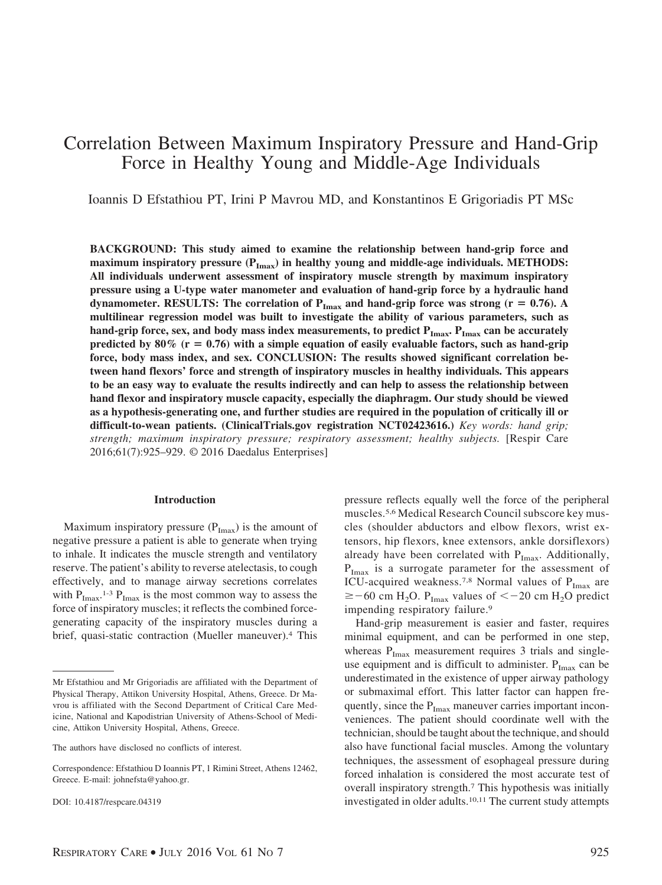# Correlation Between Maximum Inspiratory Pressure and Hand-Grip Force in Healthy Young and Middle-Age Individuals

Ioannis D Efstathiou PT, Irini P Mavrou MD, and Konstantinos E Grigoriadis PT MSc

**BACKGROUND: This study aimed to examine the relationship between hand-grip force and** maximum inspiratory pressure  $(P_{Imax})$  in healthy young and middle-age individuals. METHODS: **All individuals underwent assessment of inspiratory muscle strength by maximum inspiratory pressure using a U-type water manometer and evaluation of hand-grip force by a hydraulic hand** dynamometer. RESULTS: The correlation of  $P_{\text{Imax}}$  and hand-grip force was strong ( $r = 0.76$ ). A **multilinear regression model was built to investigate the ability of various parameters, such as** hand-grip force, sex, and body mass index measurements, to predict  $P_{\text{Imax}}$   $P_{\text{Imax}}$  can be accurately predicted by  $80\%$  ( $r = 0.76$ ) with a simple equation of easily evaluable factors, such as hand-grip **force, body mass index, and sex. CONCLUSION: The results showed significant correlation between hand flexors' force and strength of inspiratory muscles in healthy individuals. This appears to be an easy way to evaluate the results indirectly and can help to assess the relationship between hand flexor and inspiratory muscle capacity, especially the diaphragm. Our study should be viewed as a hypothesis-generating one, and further studies are required in the population of critically ill or difficult-to-wean patients. (ClinicalTrials.gov registration NCT02423616.)** *Key words: hand grip; strength; maximum inspiratory pressure; respiratory assessment; healthy subjects.* [Respir Care 2016;61(7):925–929. © 2016 Daedalus Enterprises]

# **Introduction**

Maximum inspiratory pressure  $(P_{Imax})$  is the amount of negative pressure a patient is able to generate when trying to inhale. It indicates the muscle strength and ventilatory reserve. The patient's ability to reverse atelectasis, to cough effectively, and to manage airway secretions correlates with  $P_{\text{Imax}}$ .<sup>1-3</sup>  $P_{\text{Imax}}$  is the most common way to assess the force of inspiratory muscles; it reflects the combined forcegenerating capacity of the inspiratory muscles during a brief, quasi-static contraction (Mueller maneuver).4 This

DOI: 10.4187/respcare.04319

pressure reflects equally well the force of the peripheral muscles.5,6 Medical Research Council subscore key muscles (shoulder abductors and elbow flexors, wrist extensors, hip flexors, knee extensors, ankle dorsiflexors) already have been correlated with  $P_{\text{Imax}}$ . Additionally,  $P_{\text{Imax}}$  is a surrogate parameter for the assessment of ICU-acquired weakness.<sup>7,8</sup> Normal values of  $P_{\text{Imax}}$  are  $\ge$  -60 cm H<sub>2</sub>O. P<sub>Imax</sub> values of < -20 cm H<sub>2</sub>O predict impending respiratory failure.9

Hand-grip measurement is easier and faster, requires minimal equipment, and can be performed in one step, whereas  $P_{\text{Imax}}$  measurement requires 3 trials and singleuse equipment and is difficult to administer.  $P_{Imax}$  can be underestimated in the existence of upper airway pathology or submaximal effort. This latter factor can happen frequently, since the  $P_{\text{Imax}}$  maneuver carries important inconveniences. The patient should coordinate well with the technician, should be taught about the technique, and should also have functional facial muscles. Among the voluntary techniques, the assessment of esophageal pressure during forced inhalation is considered the most accurate test of overall inspiratory strength.7 This hypothesis was initially investigated in older adults.10,11 The current study attempts

Mr Efstathiou and Mr Grigoriadis are affiliated with the Department of Physical Therapy, Attikon University Hospital, Athens, Greece. Dr Mavrou is affiliated with the Second Department of Critical Care Medicine, National and Kapodistrian University of Athens-School of Medicine, Attikon University Hospital, Athens, Greece.

The authors have disclosed no conflicts of interest.

Correspondence: Efstathiou D Ioannis PT, 1 Rimini Street, Athens 12462, Greece. E-mail: johnefsta@yahoo.gr.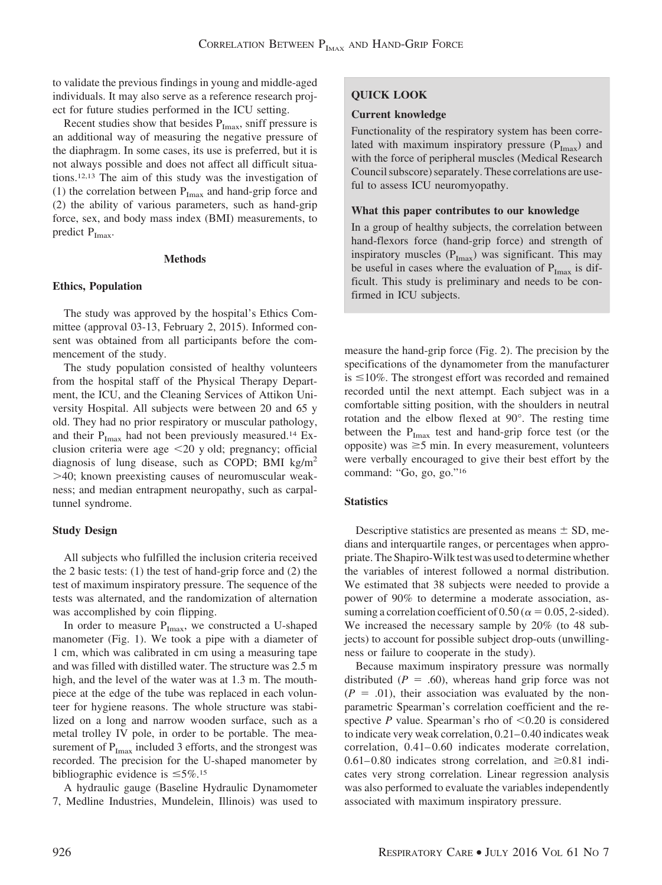to validate the previous findings in young and middle-aged individuals. It may also serve as a reference research project for future studies performed in the ICU setting.

Recent studies show that besides  $P_{\text{Imax}}$ , sniff pressure is an additional way of measuring the negative pressure of the diaphragm. In some cases, its use is preferred, but it is not always possible and does not affect all difficult situations.12,13 The aim of this study was the investigation of (1) the correlation between  $P_{Imax}$  and hand-grip force and (2) the ability of various parameters, such as hand-grip force, sex, and body mass index (BMI) measurements, to predict  $P_{\text{Imax}}$ .

# **Methods**

# **Ethics, Population**

The study was approved by the hospital's Ethics Committee (approval 03-13, February 2, 2015). Informed consent was obtained from all participants before the commencement of the study.

The study population consisted of healthy volunteers from the hospital staff of the Physical Therapy Department, the ICU, and the Cleaning Services of Attikon University Hospital. All subjects were between 20 and 65 y old. They had no prior respiratory or muscular pathology, and their  $P_{Imax}$  had not been previously measured.<sup>14</sup> Exclusion criteria were age  $\leq$ 20 y old; pregnancy; official diagnosis of lung disease, such as COPD; BMI  $kg/m<sup>2</sup>$ 40; known preexisting causes of neuromuscular weakness; and median entrapment neuropathy, such as carpaltunnel syndrome.

# **Study Design**

All subjects who fulfilled the inclusion criteria received the 2 basic tests: (1) the test of hand-grip force and (2) the test of maximum inspiratory pressure. The sequence of the tests was alternated, and the randomization of alternation was accomplished by coin flipping.

In order to measure  $P_{Imax}$ , we constructed a U-shaped manometer (Fig. 1). We took a pipe with a diameter of 1 cm, which was calibrated in cm using a measuring tape and was filled with distilled water. The structure was 2.5 m high, and the level of the water was at 1.3 m. The mouthpiece at the edge of the tube was replaced in each volunteer for hygiene reasons. The whole structure was stabilized on a long and narrow wooden surface, such as a metal trolley IV pole, in order to be portable. The measurement of  $P_{Imax}$  included 3 efforts, and the strongest was recorded. The precision for the U-shaped manometer by bibliographic evidence is  $\leq 5\%$ .<sup>15</sup>

A hydraulic gauge (Baseline Hydraulic Dynamometer 7, Medline Industries, Mundelein, Illinois) was used to

# **QUICK LOOK**

## **Current knowledge**

Functionality of the respiratory system has been correlated with maximum inspiratory pressure  $(P_{Imax})$  and with the force of peripheral muscles (Medical Research Council subscore) separately. These correlations are useful to assess ICU neuromyopathy.

## **What this paper contributes to our knowledge**

In a group of healthy subjects, the correlation between hand-flexors force (hand-grip force) and strength of inspiratory muscles  $(P_{Imax})$  was significant. This may be useful in cases where the evaluation of  $P_{Imax}$  is difficult. This study is preliminary and needs to be confirmed in ICU subjects.

measure the hand-grip force (Fig. 2). The precision by the specifications of the dynamometer from the manufacturer is  $\leq 10\%$ . The strongest effort was recorded and remained recorded until the next attempt. Each subject was in a comfortable sitting position, with the shoulders in neutral rotation and the elbow flexed at 90°. The resting time between the  $P_{\text{Imax}}$  test and hand-grip force test (or the opposite) was  $\geq$ 5 min. In every measurement, volunteers were verbally encouraged to give their best effort by the command: "Go, go, go."16

# **Statistics**

Descriptive statistics are presented as means  $\pm$  SD, medians and interquartile ranges, or percentages when appropriate. The Shapiro-Wilk test was used to determine whether the variables of interest followed a normal distribution. We estimated that 38 subjects were needed to provide a power of 90% to determine a moderate association, assuming a correlation coefficient of 0.50 ( $\alpha$  = 0.05, 2-sided). We increased the necessary sample by 20% (to 48 subjects) to account for possible subject drop-outs (unwillingness or failure to cooperate in the study).

Because maximum inspiratory pressure was normally distributed  $(P = .60)$ , whereas hand grip force was not  $(P = .01)$ , their association was evaluated by the nonparametric Spearman's correlation coefficient and the respective *P* value. Spearman's rho of  $\leq 0.20$  is considered to indicate very weak correlation, 0.21– 0.40 indicates weak correlation,  $0.41-0.60$  indicates moderate correlation, 0.61–0.80 indicates strong correlation, and  $\geq 0.81$  indicates very strong correlation. Linear regression analysis was also performed to evaluate the variables independently associated with maximum inspiratory pressure.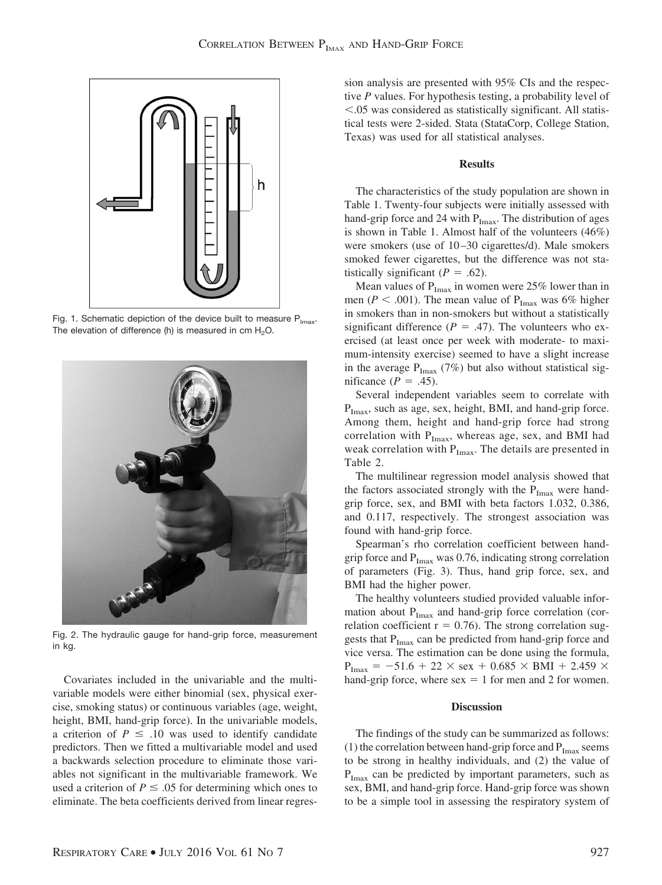

Fig. 1. Schematic depiction of the device built to measure  $P_{lmax}$ . The elevation of difference (h) is measured in  $cm H<sub>2</sub>O$ .



Fig. 2. The hydraulic gauge for hand-grip force, measurement in kg.

Covariates included in the univariable and the multivariable models were either binomial (sex, physical exercise, smoking status) or continuous variables (age, weight, height, BMI, hand-grip force). In the univariable models, a criterion of  $P \leq .10$  was used to identify candidate predictors. Then we fitted a multivariable model and used a backwards selection procedure to eliminate those variables not significant in the multivariable framework. We used a criterion of  $P \leq .05$  for determining which ones to eliminate. The beta coefficients derived from linear regression analysis are presented with 95% CIs and the respective *P* values. For hypothesis testing, a probability level of .05 was considered as statistically significant. All statistical tests were 2-sided. Stata (StataCorp, College Station, Texas) was used for all statistical analyses.

# **Results**

The characteristics of the study population are shown in Table 1. Twenty-four subjects were initially assessed with hand-grip force and 24 with  $P_{Imax}$ . The distribution of ages is shown in Table 1. Almost half of the volunteers (46%) were smokers (use of 10–30 cigarettes/d). Male smokers smoked fewer cigarettes, but the difference was not statistically significant  $(P = .62)$ .

Mean values of  $P_{Imax}$  in women were 25% lower than in men ( $P < .001$ ). The mean value of P<sub>Imax</sub> was 6% higher in smokers than in non-smokers but without a statistically significant difference ( $P = .47$ ). The volunteers who exercised (at least once per week with moderate- to maximum-intensity exercise) seemed to have a slight increase in the average  $P_{\text{Imax}}$  (7%) but also without statistical significance  $(P = .45)$ .

Several independent variables seem to correlate with  $P_{\text{Imax}}$ , such as age, sex, height, BMI, and hand-grip force. Among them, height and hand-grip force had strong correlation with  $P_{Imax}$ , whereas age, sex, and BMI had weak correlation with  $P_{Imax}$ . The details are presented in Table 2.

The multilinear regression model analysis showed that the factors associated strongly with the  $P_{\text{Imax}}$  were handgrip force, sex, and BMI with beta factors 1.032, 0.386, and 0.117, respectively. The strongest association was found with hand-grip force.

Spearman's rho correlation coefficient between handgrip force and  $P_{Imax}$  was 0.76, indicating strong correlation of parameters (Fig. 3). Thus, hand grip force, sex, and BMI had the higher power.

The healthy volunteers studied provided valuable information about  $P_{\text{Imax}}$  and hand-grip force correlation (correlation coefficient  $r = 0.76$ ). The strong correlation suggests that  $P_{\text{Imax}}$  can be predicted from hand-grip force and vice versa. The estimation can be done using the formula,  $P_{\text{Imax}} = -51.6 + 22 \times \text{sex} + 0.685 \times \text{BMI} + 2.459 \times$ hand-grip force, where  $sex = 1$  for men and 2 for women.

# **Discussion**

The findings of the study can be summarized as follows: (1) the correlation between hand-grip force and  $P_{Imax}$  seems to be strong in healthy individuals, and (2) the value of  $P_{\text{Imax}}$  can be predicted by important parameters, such as sex, BMI, and hand-grip force. Hand-grip force was shown to be a simple tool in assessing the respiratory system of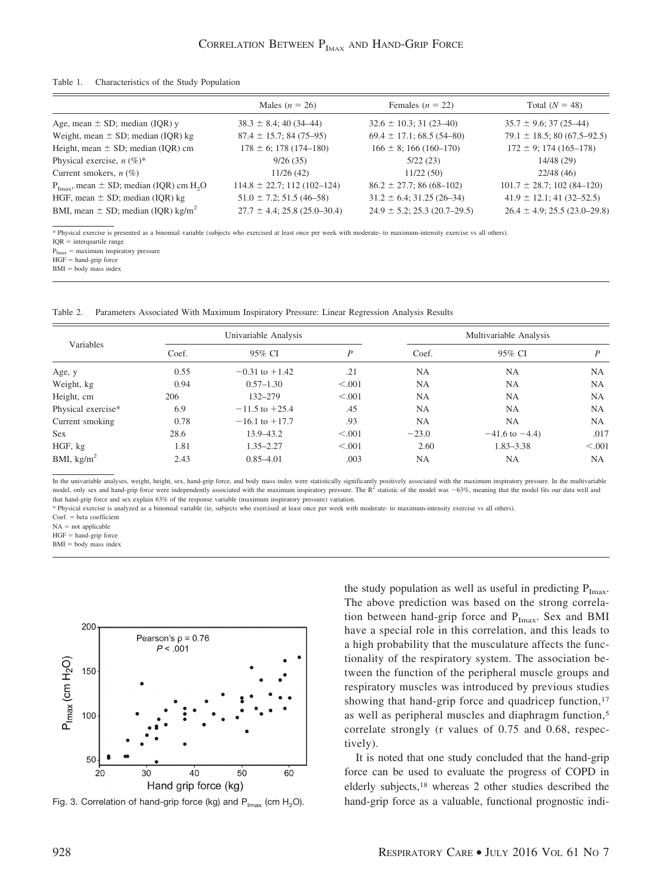#### Table 1. Characteristics of the Study Population

|                                                                     | Males $(n = 26)$                  | Females ( $n = 22$ )              | Total $(N = 48)$                  |
|---------------------------------------------------------------------|-----------------------------------|-----------------------------------|-----------------------------------|
| Age, mean $\pm$ SD; median (IQR) y                                  | $38.3 \pm 8.4$ ; 40 (34–44)       | $32.6 \pm 10.3$ ; 31 (23-40)      | $35.7 \pm 9.6$ ; 37 (25–44)       |
| Weight, mean $\pm$ SD; median (IQR) kg                              | $87.4 \pm 15.7$ ; 84 (75-95)      | $69.4 \pm 17.1$ ; 68.5 (54-80)    | $79.1 \pm 18.5$ ; 80 (67.5–92.5)  |
| Height, mean $\pm$ SD; median (IQR) cm                              | $178 \pm 6$ ; 178 (174-180)       | $166 \pm 8$ ; 166 (160-170)       | $172 \pm 9$ ; 174 (165–178)       |
| Physical exercise, $n (\%)^*$                                       | 9/26(35)                          | 5/22(23)                          | 14/48 (29)                        |
| Current smokers, $n$ (%)                                            | 11/26(42)                         | 11/22(50)                         | 22/48(46)                         |
| $P_{\text{Imax}}$ , mean $\pm$ SD; median (IQR) cm H <sub>2</sub> O | $114.8 \pm 22.7$ ; 112 (102-124)  | $86.2 \pm 27.7$ ; 86 (68-102)     | $101.7 \pm 28.7$ ; 102 (84-120)   |
| HGF, mean $\pm$ SD; median (IQR) kg                                 | $51.0 \pm 7.2$ ; 51.5 (46-58)     | $31.2 \pm 6.4$ ; $31.25(26-34)$   | $41.9 \pm 12.1$ ; 41 (32–52.5)    |
| BMI, mean $\pm$ SD; median (IQR) kg/m <sup>2</sup>                  | $27.7 \pm 4.4$ ; 25.8 (25.0–30.4) | $24.9 \pm 5.2$ ; 25.3 (20.7–29.5) | $26.4 \pm 4.9$ ; 25.5 (23.0–29.8) |
|                                                                     |                                   |                                   |                                   |

\* Physical exercise is presented as a binomial variable (subjects who exercised at least once per week with moderate- to maximum-intensity exercise vs all others).

 $IOR = interquartile range$ 

 $P_{\text{Imax}} =$  maximum inspiratory pressure

 $HGF =$  hand-grip force

 $BMI = body$  mass index

Table 2. Parameters Associated With Maximum Inspiratory Pressure: Linear Regression Analysis Results

| Variables            | Univariable Analysis |                    |         | Multivariable Analysis |                     |           |
|----------------------|----------------------|--------------------|---------|------------------------|---------------------|-----------|
|                      | Coef.                | 95% CI             | P       | Coef.                  | 95% CI              | P         |
| Age, y               | 0.55                 | $-0.31$ to $+1.42$ | .21     | <b>NA</b>              | <b>NA</b>           | <b>NA</b> |
| Weight, kg           | 0.94                 | $0.57 - 1.30$      | < 0.001 | <b>NA</b>              | <b>NA</b>           | <b>NA</b> |
| Height, cm           | 206                  | $132 - 279$        | < 0.001 | <b>NA</b>              | <b>NA</b>           | NA.       |
| Physical exercise*   | 6.9                  | $-11.5$ to $+25.4$ | .45     | <b>NA</b>              | <b>NA</b>           | NA.       |
| Current smoking      | 0.78                 | $-16.1$ to $+17.7$ | .93     | <b>NA</b>              | <b>NA</b>           | <b>NA</b> |
| <b>Sex</b>           | 28.6                 | 13.9–43.2          | < 0.001 | $-23.0$                | $-41.6$ to $-4.4$ ) | .017      |
| HGF, kg              | 1.81                 | $1.35 - 2.27$      | < 0.001 | 2.60                   | $1.83 - 3.38$       | < 0.001   |
| BMI, $\text{kg/m}^2$ | 2.43                 | $0.85 - 4.01$      | .003    | <b>NA</b>              | <b>NA</b>           | NA.       |

In the univariable analyses, weight, height, sex, hand-grip force, and body mass index were statistically significantly positively associated with the maximum inspiratory pressure. In the multivariable model, only sex and hand-grip force were independently associated with the maximum inspiratory pressure. The  $R^2$  statistic of the model was  $\sim$  63%, meaning that the model fits our data well and that hand-grip force and sex explain 63% of the response variable (maximum inspiratory pressure) variation.

\* Physical exercise is analyzed as a binomial variable (ie, subjects who exercised at least once per week with moderate- to maximum-intensity exercise vs all others).

 $Coef. = beta coefficient$ 

 $NA = not applicable$ 

 $HGF =$  hand-grip force

 $BMI = body$  mass index



the study population as well as useful in predicting  $P_{Imax}$ . The above prediction was based on the strong correlation between hand-grip force and  $P_{\text{Imax}}$ . Sex and BMI have a special role in this correlation, and this leads to a high probability that the musculature affects the functionality of the respiratory system. The association between the function of the peripheral muscle groups and respiratory muscles was introduced by previous studies showing that hand-grip force and quadricep function, $17$ as well as peripheral muscles and diaphragm function,5 correlate strongly (r values of 0.75 and 0.68, respectively).

It is noted that one study concluded that the hand-grip force can be used to evaluate the progress of COPD in elderly subjects,18 whereas 2 other studies described the Fig. 3. Correlation of hand-grip force (kg) and  $P_{\text{max}}$  (cm H<sub>2</sub>O). hand-grip force as a valuable, functional prognostic indi